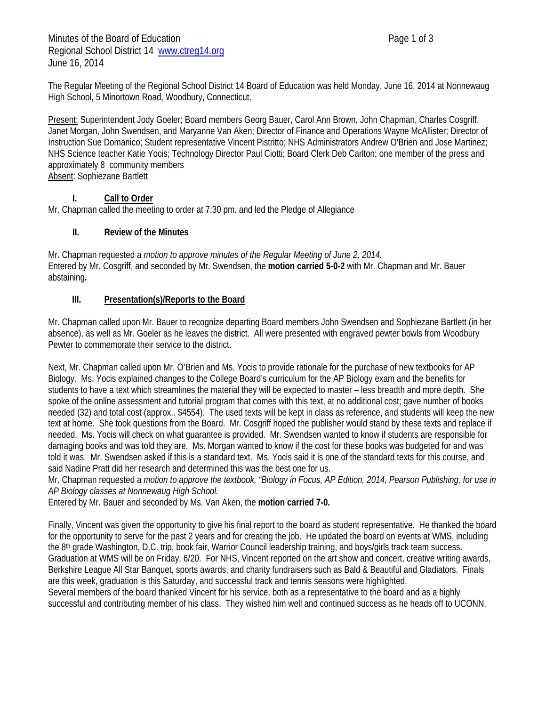Minutes of the Board of Education **Page 1 of 3** Regional School District 14 www.ctreg14.org June 16, 2014

Present: Superintendent Jody Goeler; Board members Georg Bauer, Carol Ann Brown, John Chapman, Charles Cosgriff, Janet Morgan, John Swendsen, and Maryanne Van Aken; Director of Finance and Operations Wayne McAllister; Director of Instruction Sue Domanico; Student representative Vincent Pistritto; NHS Administrators Andrew O'Brien and Jose Martinez; NHS Science teacher Katie Yocis; Technology Director Paul Ciotti; Board Clerk Deb Carlton; one member of the press and approximately 8 community members Absent: Sophiezane Bartlett

# **I. Call to Order**

Mr. Chapman called the meeting to order at 7:30 pm. and led the Pledge of Allegiance

# **II. Review of the Minutes**

Mr. Chapman requested a *motion to approve minutes of the Regular Meeting of June 2, 2014.* Entered by Mr. Cosgriff, and seconded by Mr. Swendsen, the **motion carried 5-0-2** with Mr. Chapman and Mr. Bauer abstaining**.** 

### **III. Presentation(s)/Reports to the Board**

Mr. Chapman called upon Mr. Bauer to recognize departing Board members John Swendsen and Sophiezane Bartlett (in her absence), as well as Mr. Goeler as he leaves the district. All were presented with engraved pewter bowls from Woodbury Pewter to commemorate their service to the district.

Next, Mr. Chapman called upon Mr. O'Brien and Ms. Yocis to provide rationale for the purchase of new textbooks for AP Biology. Ms. Yocis explained changes to the College Board's curriculum for the AP Biology exam and the benefits for students to have a text which streamlines the material they will be expected to master – less breadth and more depth. She spoke of the online assessment and tutorial program that comes with this text, at no additional cost; gave number of books needed (32) and total cost (approx.. \$4554). The used texts will be kept in class as reference, and students will keep the new text at home. She took questions from the Board. Mr. Cosgriff hoped the publisher would stand by these texts and replace if needed. Ms. Yocis will check on what guarantee is provided. Mr. Swendsen wanted to know if students are responsible for damaging books and was told they are. Ms. Morgan wanted to know if the cost for these books was budgeted for and was told it was. Mr. Swendsen asked if this is a standard text. Ms. Yocis said it is one of the standard texts for this course, and said Nadine Pratt did her research and determined this was the best one for us.

Mr. Chapman requested a *motion to approve the textbook, "Biology in Focus, AP Edition, 2014, Pearson Publishing, for use in AP Biology classes at Nonnewaug High School.*

Entered by Mr. Bauer and seconded by Ms. Van Aken, the **motion carried 7-0.**

Finally, Vincent was given the opportunity to give his final report to the board as student representative. He thanked the board for the opportunity to serve for the past 2 years and for creating the job. He updated the board on events at WMS, including the 8th grade Washington, D.C. trip, book fair, Warrior Council leadership training, and boys/girls track team success. Graduation at WMS will be on Friday, 6/20. For NHS, Vincent reported on the art show and concert, creative writing awards, Berkshire League All Star Banquet, sports awards, and charity fundraisers such as Bald & Beautiful and Gladiators. Finals are this week, graduation is this Saturday, and successful track and tennis seasons were highlighted.

Several members of the board thanked Vincent for his service, both as a representative to the board and as a highly successful and contributing member of his class. They wished him well and continued success as he heads off to UCONN.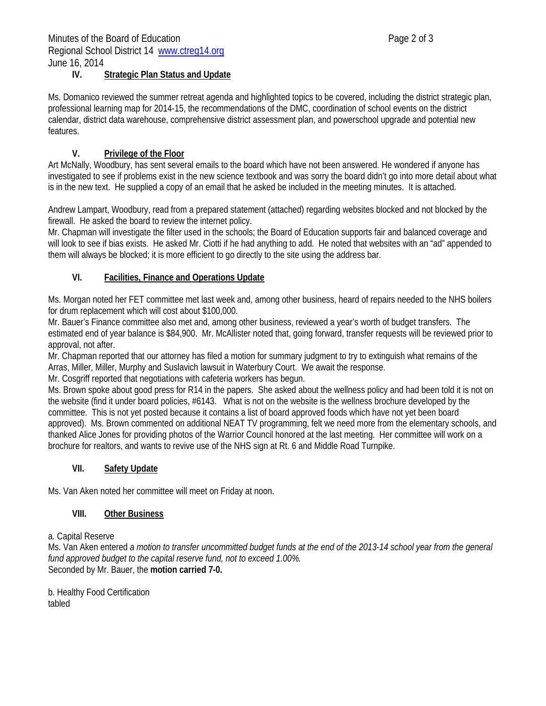#### **IV. Strategic Plan Status and Update**

Ms. Domanico reviewed the summer retreat agenda and highlighted topics to be covered, including the district strategic plan, professional learning map for 2014-15, the recommendations of the DMC, coordination of school events on the district calendar, district data warehouse, comprehensive district assessment plan, and powerschool upgrade and potential new features.

# **V. Privilege of the Floor**

Art McNally, Woodbury, has sent several emails to the board which have not been answered. He wondered if anyone has investigated to see if problems exist in the new science textbook and was sorry the board didn't go into more detail about what is in the new text. He supplied a copy of an email that he asked be included in the meeting minutes. It is attached.

Andrew Lampart, Woodbury, read from a prepared statement (attached) regarding websites blocked and not blocked by the firewall. He asked the board to review the internet policy.

Mr. Chapman will investigate the filter used in the schools; the Board of Education supports fair and balanced coverage and will look to see if bias exists. He asked Mr. Ciotti if he had anything to add. He noted that websites with an "ad" appended to them will always be blocked; it is more efficient to go directly to the site using the address bar.

# **VI. Facilities, Finance and Operations Update**

Ms. Morgan noted her FET committee met last week and, among other business, heard of repairs needed to the NHS boilers for drum replacement which will cost about \$100,000.

Mr. Bauer's Finance committee also met and, among other business, reviewed a year's worth of budget transfers. The estimated end of year balance is \$84,900. Mr. McAllister noted that, going forward, transfer requests will be reviewed prior to approval, not after.

Mr. Chapman reported that our attorney has filed a motion for summary judgment to try to extinguish what remains of the Arras, Miller, Miller, Murphy and Suslavich lawsuit in Waterbury Court. We await the response.

Mr. Cosgriff reported that negotiations with cafeteria workers has begun.

Ms. Brown spoke about good press for R14 in the papers. She asked about the wellness policy and had been told it is not on the website (find it under board policies, #6143. What is not on the website is the wellness brochure developed by the committee. This is not yet posted because it contains a list of board approved foods which have not yet been board approved). Ms. Brown commented on additional NEAT TV programming, felt we need more from the elementary schools, and thanked Alice Jones for providing photos of the Warrior Council honored at the last meeting. Her committee will work on a brochure for realtors, and wants to revive use of the NHS sign at Rt. 6 and Middle Road Turnpike.

### **VII. Safety Update**

Ms. Van Aken noted her committee will meet on Friday at noon.

### **VIII. Other Business**

### a. Capital Reserve

Ms. Van Aken entered *a motion to transfer uncommitted budget funds at the end of the 2013-14 school year from the general fund approved budget to the capital reserve fund, not to exceed 1.00%.* Seconded by Mr. Bauer, the **motion carried 7-0.**

b. Healthy Food Certification tabled